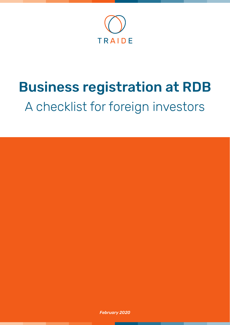

# Business registration at RDB A checklist for foreign investors

*February 2020*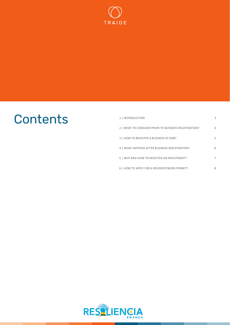

## Contents

| 1   INTRODUCTION                                     | 3  |
|------------------------------------------------------|----|
| 2   WHAT TO CONSIDER PRIOR TO BUSINESS REGISTRATION? | 4  |
| 3   HOW TO REGISTER A BUSINESS AT RDB?               | 5. |
| 4   WHAT HAPPENS AFTER BUSINESS REGISTRATION?        | 6  |
| 5   WHY AND HOW TO REGISTER AN INVESTMENT?           | 7  |
| 6   HOW TO APPLY FOR A RESIDENT/WORK PERMIT?         | 8  |

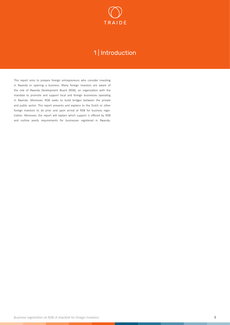

## 1 | Introduction

<span id="page-2-0"></span>This report aims to prepare foreign entrepreneurs who consider investing in Rwanda or opening a business. Many foreign investors are aware of the role of Rwanda Development Board (RDB); an organization with the mandate to promote and support local and foreign businesses operating in Rwanda. Moreover, RDB seeks to build bridges between the private and public sector. This report presents and explains to the Dutch or other foreign investors to do prior and upon arrival at RDB for business registration. Moreover, the report will explain which support is offered by RDB and outline yearly requirements for businesses registered in Rwanda.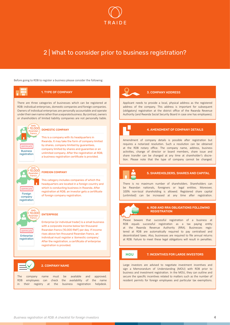

## <span id="page-3-0"></span>2 | What to consider prior to business registration?

Before going to RDB to register a business please consider the following:

#### 1. TYPE OF COMPANY

There are three categories of businesses which can be registered at RDB: individual enterprises, domestic companies and foreign companies. Owners of individual enterprises are personally accountable and operate under their own name rather than a separate business. By contrast, owners or shareholders of limited liability companies are not personally liable.



#### DOMESTIC COMPANY

This is a company with its headquarters in Rwanda. It may take the form of company limited by shares, company limited by guarantees, company limited by shares and guarantee or an unlimited company. After the registration at RDB, a business registration certificate is provided.



company registration

#### FOREIGN COMPANY

This category includes companies of which the headquarters are located in a foreign country and which is conducting business in Rwanda. After registration at RDB, an investor gets a certificate of foreign company registration.



#### **ENTERPRISE**

Enterprise (or individual trader) is a small business with a corporate income below ten thousand Rwandan francs (10,000 RWF) per day. If income rises above ten thousand Rwandan francs, an individual must register a 'domestic company.' After the registration, a certificate of enterprise registration is provided.

### 2. COMPANY NAME

The company name must be available and approved. RDB employees can check the availability of the name in their registry at the business registration helpdesk.

#### 3. COMPANY ADDRESS

Applicant needs to provide a local, physical address as the registered address of the company. This address is important for subsequent (obligatory) registration at the district office of the Rwanda Revenue Authority (and Rwanda Social Security Board in case one has employees).



#### 4. AMENDMENT OF COMPANY DETAILS

Amendment of company details is possible after registration but requires a notarized resolution. Such a resolution can be obtained at the RDB notary office. The company name, address, business activities, change of director or board members, share issue and share transfer can be changed at any time at shareholder's discretion. Please note that the type of company cannot be changed.



#### 5. SHAREHOLDERS, SHARES AND CAPITAL

There is no maximum number of shareholders. Shareholders can be Rwandan nationals, foreigners or legal entities. Moreover, 100% non-local shareholding is allowed. Registered share capital (unlimited) can be increased at any time after registration.



#### 6. RDB AND RRA OBLIGATIONS FOLLOWING **REGISTRATION**

Please beware that successful registration of a business at RDB equals successful registration as a tax paying entity at the Rwanda Revenue Authority (RRA). Businesses registered at RDB are automatically required to pay centralised and decentralized taxes. Also, businesses are required to file annual returns at RDB. Failure to meet these legal obligations will result in penalties.

#### **MOU**

#### 7. INCENTIVES FOR LARGE INVESTORS

Large investors are advised to negotiate investment incentives and sign a Memorandum of Understanding (MOU) with RDB prior to business and investment registration. In the MOU, they can outline and secure the specific incentives related to matters such as the number of resident permits for foreign employees and particular tax exemptions.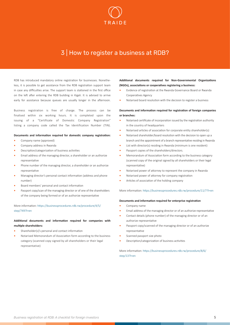

## <span id="page-4-0"></span>3 | How to register a business at RDB?

RDB has introduced mandatory online registration for businesses. Nonetheless, it is possible to get assistance from the RDB registration support team in case any difficulties arise. The support team is stationed in the first office on the left after entering the RDB building in Kigali. It is advised to arrive early for assistance because queues are usually longer in the afternoon.

Business registration is free of charge. The process can be finalised within six working hours. It is completed upon the issuing of a "Certificate of Domestic Company Registration" listing a company code called the Tax Identification Number (TIN).

#### **Documents and information required for domestic company registration:**

- **•** Company name (approved)
- **•** Company address in Rwanda
- **•** Description/categorization of business activities
- **•** Email address of the managing director, a shareholder or an authorize representative
- **•** Phone number of the managing director, a shareholder or an authorize representative
- **•** Managing director's personal contact information (address and phone number)
- **•** Board members' personal and contact information
- **•** Passport copy/scan of the managing director or of one of the shareholders of the company being formed or of an authorize representative

More information: [https://businessprocedures.rdb.rw/procedure/4/5/](https://businessprocedures.rdb.rw/procedure/4/5/step/749%3Fl%3Den) [step/749?l=en](https://businessprocedures.rdb.rw/procedure/4/5/step/749%3Fl%3Den)

### **Additional documents and information required for companies with multiple shareholders:**

- **•** Shareholder(s)'s personal and contact information
- **•** Notarised Memorandum of Association form according to the business category (scanned copy signed by all shareholders or their legal representative)

**Additional documents required for Non-Governmental Organizations (NGOs), associations or cooperatives registering a business:**

- **•** Evidence of registration at the Rwanda Governance Board or Rwanda Cooperatives Agency
- **•** Notarised board resolution with the decision to register a business

#### **Documents and information required for registration of foreign companies or branches:**

- **•** Notarised certificate of incorporation issued by the registration authority in the country of headquarters
- **•** Notarised articles of association for corporate entity shareholder(s)
- **•** Notarised shareholder/board resolution with the decision to open up a branch and the appointment of a branch representative residing in Rwanda
- **•** List with director(s) residing in Rwanda (minimum is one resident)
- **•** Passport copies of the shareholders/directors.
- **•** Memorandum of Association form according to the business category (scanned copy of the original signed by all shareholders or their legal representative)
- **•** Notarised power of attorney to represent the company in Rwanda
- **•** Notarised power of attorney for company registration
- **•** Articles of association of the holding company

### More information: [https://businessprocedures.rdb.rw/procedure/11/7?l=en](https://businessprocedures.rdb.rw/procedure/11/7%3Fl%3Den)

#### **Documents and information required for enterprise registration**

- **•** Company name
- **•** Email address of the managing director or of an authorize representative
- **•** Contact details (phone number) of the managing director or of an authorize representative
- **•** Passport copy/scanned of the managing director or of an authorize representative
- **•** Scanned passport size photo
- **•** Description/categorization of business activities

More information: [https://businessprocedures.rdb.rw/procedure/8/6/](https://businessprocedures.rdb.rw/procedure/8/6/step/13%3Fl%3Den%0D) [step/13?l=en](https://businessprocedures.rdb.rw/procedure/8/6/step/13%3Fl%3Den%0D)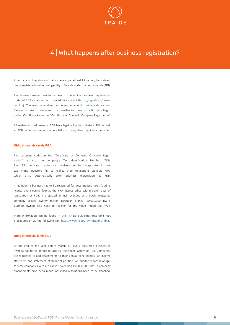

## <span id="page-5-0"></span>4 | What happens after business registration?

After successful registration, the business is operational. Moreover, the business is now registered as a tax paying entity in Rwanda under its company code (TIN).

The business owner now has access to the online business (registration) portal of RDB via an account created by applicant ([https://org.rdb.rw/busre](https://org.rdb.rw/busregonline)[gonline\)](https://org.rdb.rw/busregonline). The website enables businesses to amend company details and file annual returns. Moreover, it is possible to download a Business Registration Certificate known as "Certificate of Domestic Company Registration."

All registered businesses at RDB have legal obligations vis-à-vis RRA as well as RDB. When businesses owners fail to comply, they might face penalties.

#### Obligations vis-à-vis RRA

The company code on the "Certificate of Domestic Company Registration" is also the company's Tax Identification Number (TIN). The TIN indicates automatic registration for corporate income tax. Many investors fail to realize their obligations vis-à-vis RRA, which arise automatically after business registration at RDB.

In addition, a business has to be registered for decentralized taxes (trading license and cleaning fee) at the RRA district office within seven days of registration at RDB. If projected annual revenues of a newly registered company exceed twenty million Rwandan Francs (20,000,000 RWF), business owners also need to register for the Value Added Tax (VAT).

More information can be found in the TRAIDE guidelines regarding RRA procedures or via the following link: [http://www.rra.gov.rw/index.php?id=27](http://www.rra.gov.rw/index.php%3Fid%3D27)

#### Obligations vis-à-vis RDB

At the end of the year before March 31, every registered business in Rwanda has to file annual returns via the online system of RDB. Companies are requested to add attachments to their annual filing, namely: an income statement and statement of financial position. An auditor report is obligatory for companies with a turnover exceeding 400,000,000 RWF. If company amendments have been made, notarised resolutions need to be attached.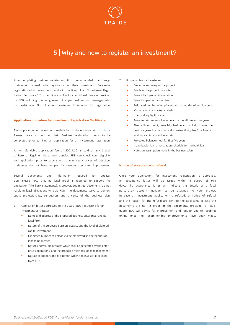

## <span id="page-6-0"></span>5 | Why and how to register an investment?

After completing business registration, it is recommended that foreign businesses proceed with registration of their investment. Successful registration of an investment results in the filing of an "Investment Registration Certificate." This certificate will unlock additional services provided by RDB including the assignment of a personal account manager who can assist you. No minimum investment is required for registration.

#### Application procedure for Investment Registration Certificate

The application for investment registration is done online at [osc.rdb.rw](http://www.osc.rdb.rw). Please create an account first. Business registration needs to be completed prior to filing an application for an investment registration.

A non-refundable application fee of 500 USD is paid at any branch of Bank of Kigali or via a bank transfer. RDB can check your eligibility and application prior to submission to minimize chances of rejection. businesses do not have to pay for resubmission after improvement.

Several documents and information required for application. Please note that no legal proof is required to support the application (like bank statements). Moreover, submitted documents do not result in legal obligations vis-à-vis RDB. The documents serve to demonstrate professionality, seriousness and sincerity of the business plan.

- 1. Application letter addressed to the CEO of RDB requesting for an Investment Certificate:
	- **•** Name and address of the proposed business enterprise, and its legal form;
	- **•** Nature of the proposed business activity and the level of planned capital investment;
	- **•** Estimated number of persons to be employed and categories of jobs to be created;
	- **•** Nature and volume of waste which shall be generated by the enterprise's operations, and the proposed methods, of its management;
	- **•** Nature of support and facilitation which the investor is seeking from RDB.
- 2. Business plan for investment
	- **•** Executive summary of the project
	- **•** Profile of the project promoter
	- **•** Project background information
	- **•** Project implementation plan
	- **•** Estimated number of employees and categories of employment
	- **•** Market study or market analysis
	- **•** Loan and equity financing
	- **•** Projected statement of income and expenditure for five years
	- **•** Planned investment, financial schedule and capital cost over the next five years in assets as land, construction, plant/machinery, working capital and other assets
	- **•** Projected balance sheet for first five years
	- **•** If applicable: loan amortization schedule for the bank loan
	- **•** Notes on assumption made in the business plan.

#### Notice of acceptance or refusal

Once your application for investment registration is approved, an acceptance letter will be issued within a period of two days. The acceptance letter will indicate the details of a focal person/Key account manager to be assigned to your project. In case an investment application is refused, a notice of refusal and the reason for the refusal are sent to the applicant. In case the documents are not in order or the documents provided is inadequate, RDB will advise for improvement and request you to resubmit online once the recommended improvements have been made.